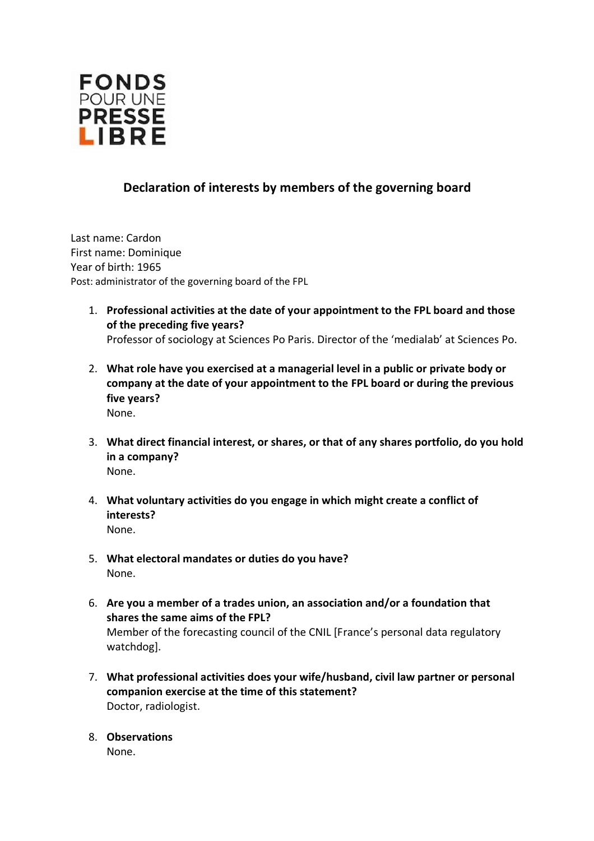

## **Declaration of interests by members of the governing board**

Last name: Cardon First name: Dominique Year of birth: 1965 Post: administrator of the governing board of the FPL

- 1. **Professional activities at the date of your appointment to the FPL board and those of the preceding five years?** Professor of sociology at Sciences Po Paris. Director of the 'medialab' at Sciences Po.
- 2. **What role have you exercised at a managerial level in a public or private body or company at the date of your appointment to the FPL board or during the previous five years?**  None.
- 3. **What direct financial interest, or shares, or that of any shares portfolio, do you hold in a company?**  None.
- 4. **What voluntary activities do you engage in which might create a conflict of interests?**  None.
- 5. **What electoral mandates or duties do you have?**  None.
- 6. **Are you a member of a trades union, an association and/or a foundation that shares the same aims of the FPL?**  Member of the forecasting council of the CNIL [France's personal data regulatory watchdog].
- 7. **What professional activities does your wife/husband, civil law partner or personal companion exercise at the time of this statement?**  Doctor, radiologist.
- 8. **Observations** None.